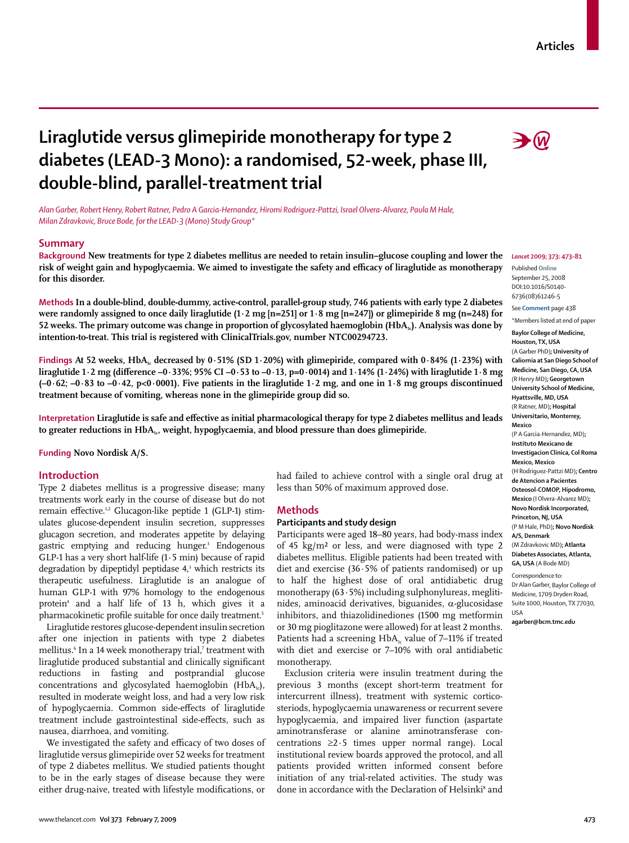## **Articles**

# **Liraglutide versus glimepiride monotherapy for type 2 diabetes (LEAD-3 Mono): a randomised, 52-week, phase III, double-blind, parallel-treatment trial**

*Alan Garber, Robert Henry, Robert Ratner, Pedro A Garcia-Hernandez, Hiromi Rodriguez-Pattzi, Israel Olvera-Alvarez, Paula M Hale, Milan Zdravkovic, Bruce Bode, for the LEAD-3 (Mono) Study Group\**

## **Summary**

**Background New treatments for type 2 diabetes mellitus are needed to retain insulin–glucose coupling and lower the**  risk of weight gain and hypoglycaemia. We aimed to investigate the safety and efficacy of liraglutide as monotherapy **for this disorder.** 

**Methods In a double-blind, double-dummy, active-control, parallel-group study, 746 patients with early type 2 diabetes were randomly assigned to once daily liraglutide (1·2 mg [n=251] or 1·8 mg [n=247]) or glimepiride 8 mg (n=248) for**  52 weeks. The primary outcome was change in proportion of glycosylated haemoglobin (HbA<sub>1c</sub>). Analysis was done by **intention-to-treat. This trial is registered with ClinicalTrials.gov, number NTC00294723.**

**Findings** At 52 weeks,  $HbA_1$  decreased by  $0.51\%$  (SD  $1.20\%$ ) with glimepiride, compared with  $0.84\%$  ( $1.23\%$ ) with liraglutide 1·2 mg (difference -0·33%; 95% CI -0·53 to -0·13, p=0·0014) and 1·14% (1·24%) with liraglutide 1·8 mg **(–0·62; –0·83 to –0·42, p<0·0001). Five patients in the liraglutide 1·2 mg, and one in 1·8 mg groups discontinued treatment because of vomiting, whereas none in the glimepiride group did so.**

Interpretation Liraglutide is safe and effective as initial pharmacological therapy for type 2 diabetes mellitus and leads to greater reductions in HbA<sub>1c</sub>, weight, hypoglycaemia, and blood pressure than does glimepiride.

**Funding Novo Nordisk A/S.**

## **Introduction**

Type 2 diabetes mellitus is a progressive disease; many treatments work early in the course of disease but do not remain effective.<sup>1,2</sup> Glucagon-like peptide 1 (GLP-1) stimulates glucose-dependent insulin secretion, suppresses glucagon secretion, and moderates appetite by delaying gastric emptying and reducing hunger.<sup>3</sup> Endogenous GLP-1 has a very short half-life (1·5 min) because of rapid degradation by dipeptidyl peptidase 4,3 which restricts its therapeutic usefulness. Liraglutide is an analogue of human GLP-1 with 97% homology to the endogenous protein4 and a half life of 13 h, which gives it a pharmacokinetic profile suitable for once daily treatment.<sup>5</sup>

Liraglutide restores glucose-dependent insulin secretion after one injection in patients with type 2 diabetes mellitus.' In a 14 week monotherapy trial,' treatment with liraglutide produced substantial and clinically significant reductions in fasting and postprandial glucose concentrations and glycosylated haemoglobin  $(HbA<sub>i</sub>)$ , resulted in moderate weight loss, and had a very low risk of hypoglycaemia. Common side-effects of liraglutide treatment include gastrointestinal side-effects, such as nausea, diarrhoea, and vomiting.

We investigated the safety and efficacy of two doses of liraglutide versus glimepiride over 52 weeks for treatment of type 2 diabetes mellitus. We studied patients thought to be in the early stages of disease because they were either drug-naive, treated with lifestyle modifications, or

had failed to achieve control with a single oral drug at less than 50% of maximum approved dose.

## **Methods**

#### **Participants and study design**

Participants were aged 18–80 years, had body-mass index of 45 kg/m² or less, and were diagnosed with type 2 diabetes mellitus. Eligible patients had been treated with diet and exercise (36·5% of patients randomised) or up to half the highest dose of oral antidiabetic drug monotherapy (63·5%) including sulphonylureas, meglitinides, aminoacid derivatives, biguanides, α-glucosidase inhibitors, and thiazolidinediones (1500 mg metformin or 30 mg pioglitazone were allowed) for at least 2 months. Patients had a screening HbA<sub>1c</sub> value of 7–11% if treated with diet and exercise or 7–10% with oral antidiabetic monotherapy.

Exclusion criteria were insulin treatment during the previous 3 months (except short-term treatment for intercurrent illness), treatment with systemic corticosteriods, hypoglycaemia unawareness or recurrent severe hypoglycaemia, and impaired liver function (aspartate aminotransferase or alanine aminotransferase concentrations ≥2·5 times upper normal range). Local institutional review boards approved the protocol, and all patients provided written informed consent before initiation of any trial-related activities. The study was done in accordance with the Declaration of Helsinki<sup>s</sup> and



#### *Lancet* **2009; 373: 473–81**

Published **Online** September 25, 2008 DOI:10.1016/S0140- 6736(08)61246-5

See **Comment** page 438 \*Members listed at end of paper

**Baylor College of Medicine, Houston, TX, USA** (A Garber PhD)**; University of Caliornia at San Diego School of Medicine, San Diego, CA, USA** (R Henry MD)**; Georgetown University School of Medicine, Hyattsville, MD, USA**  (R Ratner, MD)**; Hospital Universitario, Monterrey, Mexico** (P A Garcia-Hernandez, MD)**; Instituto Mexicano de Investigacion Clinica, Col Roma Mexico, Mexico** (H Rodriguez-Pattzi MD)**; Centro de Atencion a Pacientes Osteosol-COMOP, Hipodromo, Mexico** (I Olvera-Alvarez MD)**; Novo Nordisk Incorporated, Princeton, NJ, USA** (P M Hale, PhD)**; Novo Nordisk A/S, Denmark** (M Zdravkovic MD)**; Atlanta** 

**Diabetes Associates, Atlanta, GA, USA** (A Bode MD)

Correspondence to: Dr Alan Garber, Baylor College of Medicine, 1709 Dryden Road, Suite 1000, Houston, TX 77030, USA

**agarber@bcm.tmc.edu**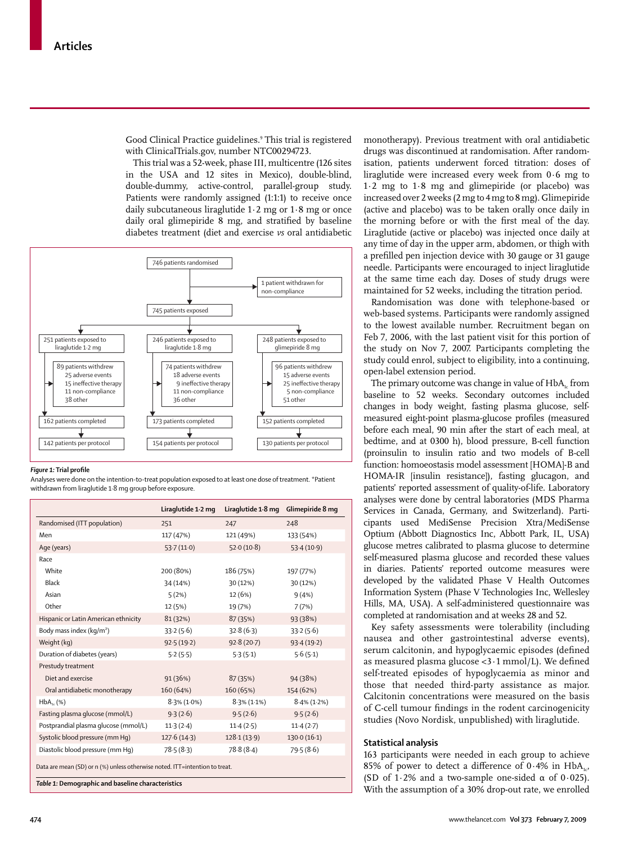Good Clinical Practice guidelines.9 This trial is registered with ClinicalTrials.gov, number NTC00294723.

This trial was a 52-week, phase III, multicentre (126 sites in the USA and 12 sites in Mexico), double-blind, double-dummy, active-control, parallel-group study. Patients were randomly assigned (1:1:1) to receive once daily subcutaneous liraglutide 1·2 mg or 1·8 mg or once daily oral glimepiride 8 mg, and stratified by baseline diabetes treatment (diet and exercise *vs* oral antidiabetic



### **Figure 1: Trial profile**

Analyses were done on the intention-to-treat population exposed to at least one dose of treatment. \*Patient withdrawn from liraglutide 1·8 mg group before exposure.

|                                                                                                                                  | Liraglutide 1.2 mg | Liraglutide 1.8 mg | Glimepiride 8 mq |
|----------------------------------------------------------------------------------------------------------------------------------|--------------------|--------------------|------------------|
| Randomised (ITT population)                                                                                                      | 251                | 247                | 248              |
| Men                                                                                                                              | 117 (47%)          | 121 (49%)          | 133 (54%)        |
| Age (years)                                                                                                                      | 53.7(11.0)         | 52.0(10.8)         | 53.4(10.9)       |
| Race                                                                                                                             |                    |                    |                  |
| White                                                                                                                            | 200 (80%)          | 186 (75%)          | 197 (77%)        |
| <b>Black</b>                                                                                                                     | 34 (14%)           | 30 (12%)           | 30 (12%)         |
| Asian                                                                                                                            | 5(2%)              | 12 (6%)            | 9(4%)            |
| Other                                                                                                                            | 12 (5%)            | 19 (7%)            | 7(7%)            |
| Hispanic or Latin American ethnicity                                                                                             | 81 (32%)           | 87 (35%)           | 93 (38%)         |
| Body mass index (kg/m <sup>2</sup> )                                                                                             | 33.2(5.6)          | 32.8(6.3)          | 33.2(5.6)        |
| Weight (kg)                                                                                                                      | 92.5(19.2)         | 92.8(20.7)         | 93.4(19.2)       |
| Duration of diabetes (years)                                                                                                     | 5.2(5.5)           | 5.3(5.1)           | 5.6(5.1)         |
| Prestudy treatment                                                                                                               |                    |                    |                  |
| Diet and exercise                                                                                                                | 91 (36%)           | 87 (35%)           | 94 (38%)         |
| Oral antidiabetic monotherapy                                                                                                    | 160 (64%)          | 160 (65%)          | 154 (62%)        |
| HbA <sub>1</sub> (%)                                                                                                             | $8.3\%$ (1.0%)     | $8.3\%$ (1.1%)     | $8.4\%$ (1.2%)   |
| Fasting plasma glucose (mmol/L)                                                                                                  | 9.3(2.6)           | 9.5(2.6)           | 9.5(2.6)         |
| Postprandial plasma glucose (mmol/L)                                                                                             | 11.3(2.4)          | 11.4(2.5)          | 11.4(2.7)        |
| Systolic blood pressure (mm Hq)                                                                                                  | 127.6(14.3)        | 128.1(13.9)        | 130.0(16.1)      |
| Diastolic blood pressure (mm Hq)                                                                                                 | 78.5(8.3)          | 78.8(8.4)          | 79.5 (8.6)       |
| Data are mean (SD) or n (%) unless otherwise noted. ITT=intention to treat.<br>Table 1: Demographic and baseline characteristics |                    |                    |                  |

monotherapy). Previous treatment with oral antidiabetic drugs was discontinued at randomisation. After randomisation, patients underwent forced titration: doses of liraglutide were increased every week from 0·6 mg to 1·2 mg to 1·8 mg and glimepiride (or placebo) was increased over 2 weeks (2 mg to 4 mg to 8 mg). Glimepiride (active and placebo) was to be taken orally once daily in the morning before or with the first meal of the day. Liraglutide (active or placebo) was injected once daily at any time of day in the upper arm, abdomen, or thigh with a prefilled pen injection device with 30 gauge or 31 gauge needle. Participants were encouraged to inject liraglutide at the same time each day. Doses of study drugs were maintained for 52 weeks, including the titration period.

Randomisation was done with telephone-based or web-based systems. Participants were randomly assigned to the lowest available number. Recruitment began on Feb 7, 2006, with the last patient visit for this portion of the study on Nov 7, 2007. Participants completing the study could enrol, subject to eligibility, into a continuing, open-label extension period.

The primary outcome was change in value of  $HbA<sub>i</sub>$  from baseline to 52 weeks. Secondary outcomes included changes in body weight, fasting plasma glucose, selfmeasured eight-point plasma-glucose profiles (measured before each meal, 90 min after the start of each meal, at bedtime, and at 0300 h), blood pressure, B-cell function (proinsulin to insulin ratio and two models of B-cell function: homoeostasis model assessment [HOMA]-B and HOMA-IR [insulin resistance]), fasting glucagon, and patients' reported assessment of quality-of-life. Laboratory analyses were done by central laboratories (MDS Pharma Services in Canada, Germany, and Switzerland). Participants used MediSense Precision Xtra/MediSense Optium (Abbott Diagnostics Inc, Abbott Park, IL, USA) glucose metres calibrated to plasma glucose to determine self-measured plasma glucose and recorded these values in diaries. Patients' reported outcome measures were developed by the validated Phase V Health Outcomes Information System (Phase V Technologies Inc, Wellesley Hills, MA, USA). A self-administered questionnaire was completed at randomisation and at weeks 28 and 52.

Key safety assessments were tolerability (including nausea and other gastrointestinal adverse events), serum calcitonin, and hypoglycaemic episodes (defined as measured plasma glucose  $<$ 3 $\cdot$ 1 mmol/L). We defined self-treated episodes of hypoglycaemia as minor and those that needed third-party assistance as major. Calcitonin concentrations were measured on the basis of C-cell tumour findings in the rodent carcinogenicity studies (Novo Nordisk, unpublished) with liraglutide.

## **Statistical analysis**

163 participants were needed in each group to achieve 85% of power to detect a difference of 0.4% in  $HbA_{1c}$ , (SD of 1.2% and a two-sample one-sided  $\alpha$  of 0.025). With the assumption of a 30% drop-out rate, we enrolled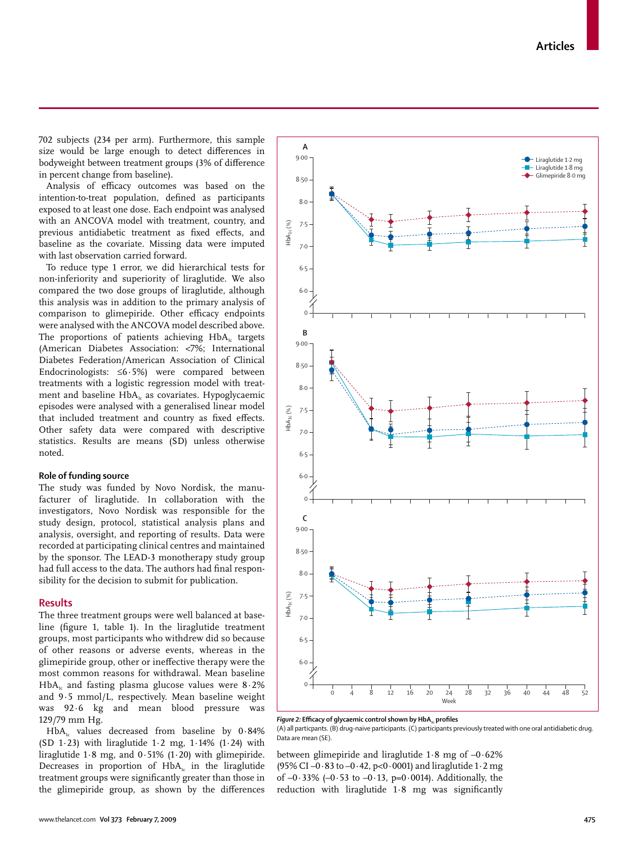www.thelancet.com**Vol 373 February 7, 2009 475**

702 subjects (234 per arm). Furthermore, this sample size would be large enough to detect differences in bodyweight between treatment groups (3% of difference in percent change from baseline).

Analysis of efficacy outcomes was based on the intention-to-treat population, defined as participants exposed to at least one dose. Each endpoint was analysed with an ANCOVA model with treatment, country, and previous antidiabetic treatment as fixed effects, and baseline as the covariate. Missing data were imputed with last observation carried forward.

To reduce type 1 error, we did hierarchical tests for non-inferiority and superiority of liraglutide. We also compared the two dose groups of liraglutide, although this analysis was in addition to the primary analysis of comparison to glimepiride. Other efficacy endpoints were analysed with the ANCOVA model described above. The proportions of patients achieving  $HbA<sub>1c</sub>$  targets (American Diabetes Association: <7%; International Diabetes Federation/American Association of Clinical Endocrinologists: ≤6·5%) were compared between treatments with a logistic regression model with treatment and baseline  $HbA<sub>1c</sub>$  as covariates. Hypoglycaemic episodes were analysed with a generalised linear model that included treatment and country as fixed effects. Other safety data were compared with descriptive statistics. Results are means (SD) unless otherwise noted.

## **Role of funding source**

The study was funded by Novo Nordisk, the manufacturer of liraglutide. In collaboration with the investigators, Novo Nordisk was responsible for the study design, protocol, statistical analysis plans and analysis, oversight, and reporting of results. Data were recorded at participating clinical centres and maintained by the sponsor. The LEAD-3 monotherapy study group had full access to the data. The authors had final responsibility for the decision to submit for publication.

## **Results**

The three treatment groups were well balanced at baseline (figure 1, table 1). In the liraglutide treatment groups, most participants who withdrew did so because of other reasons or adverse events, whereas in the glimepiride group, other or ineffective therapy were the most common reasons for withdrawal. Mean baseline  $HbA<sub>1c</sub>$  and fasting plasma glucose values were 8.2% and 9·5 mmol/L, respectively. Mean baseline weight was 92·6 kg and mean blood pressure was 129/79 mm Hg.

 $HbA<sub>1c</sub>$  values decreased from baseline by 0.84% (SD 1 $\cdot$ 23) with liraglutide 1 $\cdot$ 2 mg, 1 $\cdot$ 14% (1 $\cdot$ 24) with liraglutide 1·8 mg, and 0·51% (1·20) with glimepiride. Decreases in proportion of  $HbA<sub>1c</sub>$  in the liraglutide treatment groups were significantly greater than those in the glimepiride group, as shown by the differences



*Figure 2: Efficacy of glycaemic control shown by HbA<sub>1c</sub> profiles* 

(A) all particpants. (B) drug-naive participants. (C) participants previously treated with one oral antidiabetic drug. Data are mean (SE).

between glimepiride and liraglutide 1·8 mg of –0·62% (95% CI –0 $\cdot$  83 to –0 $\cdot$  42, p<0 $\cdot$ 0001) and liraglutide 1 $\cdot$ 2 mg of –0·33% (–0·53 to –0·13, p=0·0014). Additionally, the reduction with liraglutide  $1.8$  mg was significantly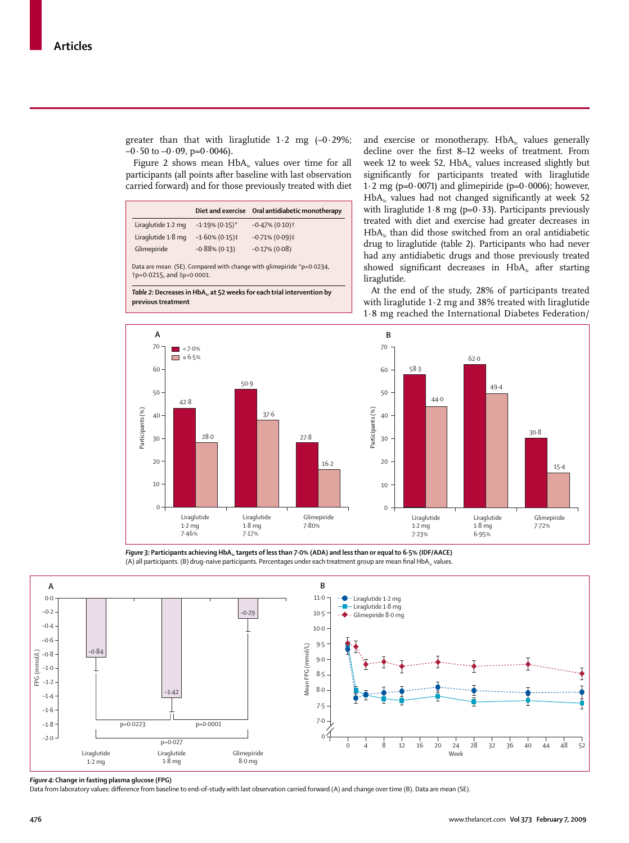greater than that with liraglutide  $1·2$  mg  $(-0·29%;$  $-0.50$  to  $-0.09$ , p= $0.0046$ ).

Figure 2 shows mean  $HbA_i$  values over time for all participants (all points after baseline with last observation carried forward) and for those previously treated with diet

|                      |                               | Diet and exercise Oral antidiabetic monotherapy                                                                                                                                                                                   |
|----------------------|-------------------------------|-----------------------------------------------------------------------------------------------------------------------------------------------------------------------------------------------------------------------------------|
| Liraglutide $1.2$ mg | $-1.19\%$ (0.15) <sup>*</sup> | $-0.47\%$ (0.10) <sup>+</sup>                                                                                                                                                                                                     |
| Liraglutide $1.8$ mg | $-1.60\%$ (0.15)‡             | $-0.71\%$ (0.09)‡                                                                                                                                                                                                                 |
| Glimepiride          | $-0.88\%$ (0.13)              | $-0.17\%$ (0.08)                                                                                                                                                                                                                  |
|                      |                               | $\mathbb{R}$ . The contract of the contract of the contract of the contract of the contract of the contract of the contract of the contract of the contract of the contract of the contract of the contract of the contract of th |

Data are mean (SE). Compared with change with glimepiride \*p=0·0234, †p=0·0215, and ‡p<0·0001.

Table 2: Decreases in HbA<sub>c</sub> at 52 weeks for each trial intervention by **previous treatment**

and exercise or monotherapy.  $HbA<sub>1c</sub>$  values generally decline over the first 8-12 weeks of treatment. From week 12 to week 52,  $HbA<sub>i</sub>$  values increased slightly but significantly for participants treated with liraglutide 1·2 mg (p= $0.0071$ ) and glimepiride (p= $0.0006$ ); however,  $HbA<sub>1c</sub>$  values had not changed significantly at week 52 with liraglutide 1.8 mg (p= $0.33$ ). Participants previously treated with diet and exercise had greater decreases in  $HbA<sub>1c</sub>$  than did those switched from an oral antidiabetic drug to liraglutide (table 2). Participants who had never had any antidiabetic drugs and those previously treated showed significant decreases in  $HbA<sub>i</sub>$  after starting liraglutide.

At the end of the study, 28% of participants treated with liraglutide 1·2 mg and 38% treated with liraglutide 1·8 mg reached the International Diabetes Federation/



*Figure 3: Participants achieving HbA<sub>1c</sub> targets of less than 7·0% (ADA) and less than or equal to 6·5% (IDF/AACE)* (A) all participants. (B) drug-naive participants. Percentages under each treatment group are mean final HbA<sub>1c</sub> values.



*Figure 4:* **Change in fasting plasma glucose (FPG)**

Data from laboratory values: difference from baseline to end-of-study with last observation carried forward (A) and change over time (B). Data are mean (SE)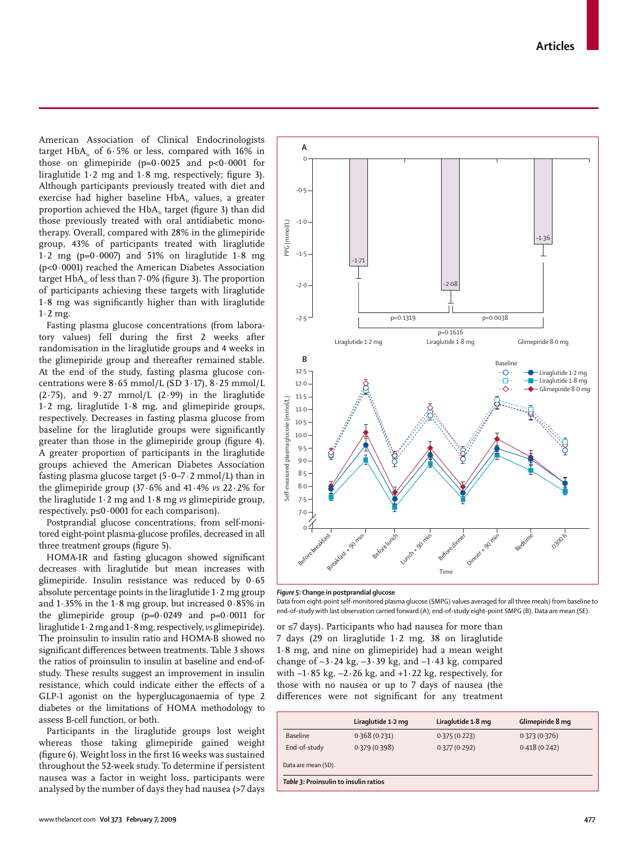American Association of Clinical Endocrinologists target HbA<sub>1c</sub> of 6.5% or less, compared with 16% in those on glimepiride  $(p=0.0025$  and  $p<0.0001$  for liraglutide  $1·2$  mg and  $1·8$  mg, respectively; figure 3). Although participants previously treated with diet and exercise had higher baseline  $HbA<sub>1c</sub>$  values, a greater proportion achieved the  $HbA_i$  target (figure 3) than did those previously treated with oral antidiabetic monotherapy. Overall, compared with 28% in the glimepiride group, 43% of participants treated with liraglutide 1.2 mg (p= $0.0007$ ) and 51% on liraglutide 1.8 mg (p<0·0001) reached the American Diabetes Association target HbA<sub>1c</sub> of less than 7 $\cdot$  0% (figure 3). The proportion of participants achieving these targets with liraglutide  $1·8$  mg was significantly higher than with liraglutide  $1·2$  mg.

Fasting plasma glucose concentrations (from laboratory values) fell during the first 2 weeks after randomisation in the liraglutide groups and 4 weeks in the glimepiride group and thereafter remained stable. At the end of the study, fasting plasma glucose concentrations were 8·65 mmol/L (SD 3·17), 8·25 mmol/L (2.75), and  $9.27 \text{ mmol/L}$  (2.99) in the liraglutide 1·2 mg, liraglutide 1·8 mg, and glimepiride groups, respectively. Decreases in fasting plasma glucose from baseline for the liraglutide groups were significantly greater than those in the glimepiride group (figure 4). A greater proportion of participants in the liraglutide groups achieved the American Diabetes Association fasting plasma glucose target  $(5.0-7.2 \text{ mmol/L})$  than in the glimepiride group (37·6% and 41·4% *vs* 22·2% for the liraglutide 1·2 mg and 1·8 mg *vs* glimepiride group, respectively, p≤0·0001 for each comparison).

Postprandial glucose concentrations, from self-monitored eight-point plasma-glucose profiles, decreased in all three treatment groups (figure 5).

HOMA-IR and fasting glucagon showed significant decreases with liraglutide but mean increases with glimepiride. Insulin resistance was reduced by 0·65 absolute percentage points in the liraglutide 1·2 mg group and 1·35% in the 1·8 mg group, but increased 0·85% in the glimepiride group  $(p=0.0249$  and  $p=0.0011$  for liraglutide 1·2 mg and 1·8 mg, respectively, *vs* glimepiride). The proinsulin to insulin ratio and HOMA-B showed no significant differences between treatments. Table 3 shows the ratios of proinsulin to insulin at baseline and end-ofstudy. These results suggest an improvement in insulin resistance, which could indicate either the effects of a GLP-1 agonist on the hyperglucagonaemia of type 2 diabetes or the limitations of HOMA methodology to assess B-cell function, or both.

Participants in the liraglutide groups lost weight whereas those taking glimepiride gained weight (figure 6). Weight loss in the first 16 weeks was sustained throughout the 52-week study. To determine if persistent nausea was a factor in weight loss, participants were analysed by the number of days they had nausea (>7 days



#### *Figure 5:* **Change in postprandial glucose**

Data from eight-point self-monitored plasma glucose (SMPG) values averaged for all three meals) from baseline to end-of-study with last observation carried forward (A); end-of-study eight-point SMPG (B). Data are mean (SE).

or ≤7 days). Participants who had nausea for more than 7 days (29 on liraglutide 1·2 mg, 38 on liraglutide 1·8 mg, and nine on glimepiride) had a mean weight change of  $-3.24$  kg,  $-3.39$  kg, and  $-1.43$  kg, compared with  $-1.85$  kg,  $-2.26$  kg, and  $+1.22$  kg, respectively, for those with no nausea or up to 7 days of nausea (the differences were not significant for any treatment

|                                       | Liraglutide 1.2 mg | Liraglutide 1.8 mg | Glimepiride 8 mg |
|---------------------------------------|--------------------|--------------------|------------------|
| <b>Baseline</b>                       | 0.368(0.231)       | 0.375(0.223)       | 0.373(0.376)     |
| End-of-study                          | 0.379(0.398)       | 0.377(0.292)       | 0.418(0.242)     |
| Data are mean (SD).                   |                    |                    |                  |
| Table 3: Proinsulin to insulin ratios |                    |                    |                  |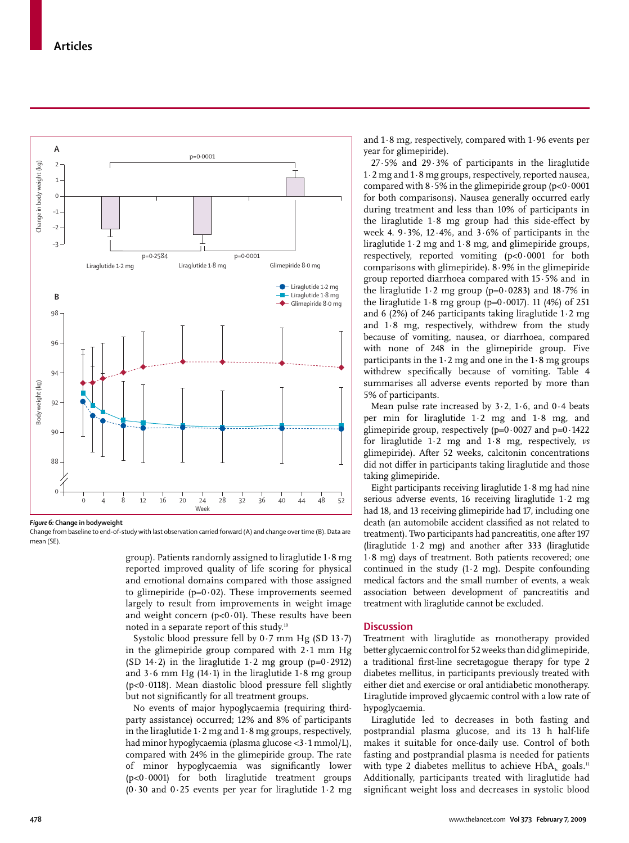

#### *Figure 6:* **Change in bodyweight**

Change from baseline to end-of-study with last observation carried forward (A) and change over time (B). Data are mean (SE).

> group). Patients randomly assigned to liraglutide 1·8 mg reported improved quality of life scoring for physical and emotional domains compared with those assigned to glimepiride ( $p=0.02$ ). These improvements seemed largely to result from improvements in weight image and weight concern ( $p<0.01$ ). These results have been noted in a separate report of this study.<sup>10</sup>

> Systolic blood pressure fell by  $0.7$  mm Hg (SD  $13.7$ ) in the glimepiride group compared with 2·1 mm Hg (SD 14 $\cdot$ 2) in the liraglutide 1 $\cdot$ 2 mg group (p=0 $\cdot$ 2912) and  $3.6$  mm Hg (14 $\cdot$ 1) in the liraglutide  $1.8$  mg group (p<0·0118). Mean diastolic blood pressure fell slightly but not significantly for all treatment groups.

> No events of major hypoglycaemia (requiring thirdparty assistance) occurred; 12% and 8% of participants in the liraglutide  $1.2$  mg and  $1.8$  mg groups, respectively, had minor hypoglycaemia (plasma glucose <3·1 mmol/L), compared with 24% in the glimepiride group. The rate of minor hypoglycaemia was significantly lower (p<0·0001) for both liraglutide treatment groups  $(0.30$  and  $0.25$  events per year for liraglutide 1.2 mg

and  $1.8$  mg, respectively, compared with  $1.96$  events per year for glimepiride).

27·5% and 29·3% of participants in the liraglutide 1·2 mg and 1·8 mg groups, respectively, reported nausea, compared with  $8.5\%$  in the glimepiride group (p<0.0001 for both comparisons). Nausea generally occurred early during treatment and less than 10% of participants in the liraglutide  $1.8$  mg group had this side-effect by week 4. 9·3%, 12·4%, and 3·6% of participants in the liraglutide 1·2 mg and 1·8 mg, and glimepiride groups, respectively, reported vomiting (p<0·0001 for both comparisons with glimepiride).  $8.9\%$  in the glimepiride group reported diarrhoea compared with 15·5% and in the liraglutide 1.2 mg group ( $p=0.0283$ ) and  $18.7\%$  in the liraglutide 1.8 mg group (p= $0.0017$ ). 11 (4%) of 251 and 6 (2%) of 246 participants taking liraglutide 1·2 mg and 1·8 mg, respectively, withdrew from the study because of vomiting, nausea, or diarrhoea, compared with none of 248 in the glimepiride group. Five participants in the  $1.2$  mg and one in the  $1.8$  mg groups withdrew specifically because of vomiting. Table 4 summarises all adverse events reported by more than 5% of participants.

Mean pulse rate increased by  $3.2$ ,  $1.6$ , and  $0.4$  beats per min for liraglutide 1·2 mg and 1·8 mg, and glimepiride group, respectively  $(p=0.0027$  and  $p=0.1422$ for liraglutide 1·2 mg and 1·8 mg, respectively, *vs* glimepiride). After 52 weeks, calcitonin concentrations did not differ in participants taking liraglutide and those taking glimepiride.

Eight participants receiving liraglutide 1·8 mg had nine serious adverse events, 16 receiving liraglutide 1·2 mg had 18, and 13 receiving glimepiride had 17, including one death (an automobile accident classified as not related to treatment). Two participants had pancreatitis, one after 197 (liraglutide 1·2 mg) and another after 333 (liraglutide 1·8 mg) days of treatment. Both patients recovered; one continued in the study (1·2 mg). Despite confounding medical factors and the small number of events, a weak association between development of pancreatitis and treatment with liraglutide cannot be excluded.

## **Discussion**

Treatment with liraglutide as monotherapy provided better glycaemic control for 52 weeks than did glimepiride, a traditional first-line secretagogue therapy for type 2 diabetes mellitus, in participants previously treated with either diet and exercise or oral antidiabetic monotherapy. Liraglutide improved glycaemic control with a low rate of hypoglycaemia.

Liraglutide led to decreases in both fasting and postprandial plasma glucose, and its 13 h half-life makes it suitable for once-daily use. Control of both fasting and postprandial plasma is needed for patients with type 2 diabetes mellitus to achieve  $HbA_1$ <sub>c</sub> goals.<sup>11</sup> Additionally, participants treated with liraglutide had significant weight loss and decreases in systolic blood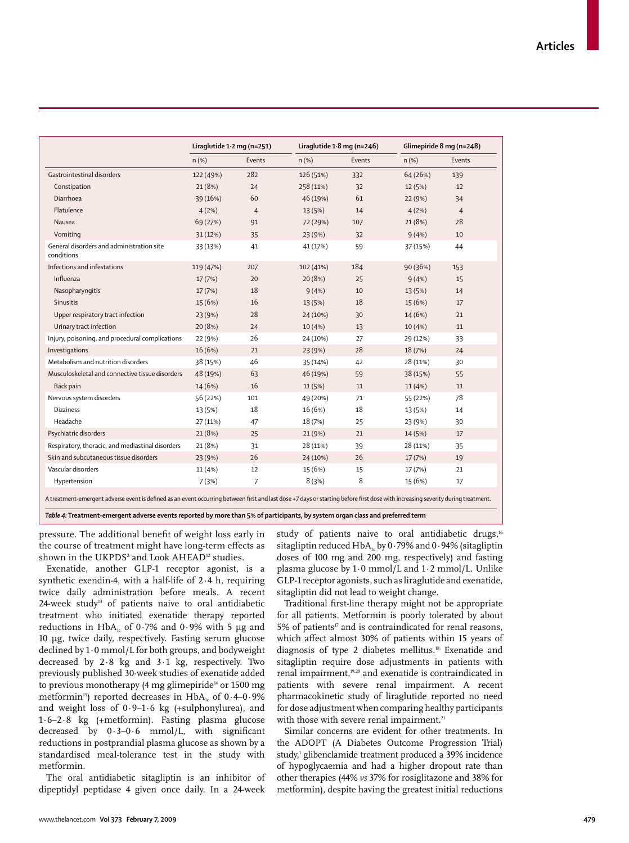|                                                         | Liraglutide 1.2 mg (n=251) |                | Liraglutide 1.8 mg (n=246) |        | Glimepiride 8 mg (n=248) |                |
|---------------------------------------------------------|----------------------------|----------------|----------------------------|--------|--------------------------|----------------|
|                                                         | $n$ (%)                    | Events         | $n$ (%)                    | Events | $n$ (%)                  | Events         |
| Gastrointestinal disorders                              | 122 (49%)                  | 282            | 126 (51%)                  | 332    | 64 (26%)                 | 139            |
| Constipation                                            | 21 (8%)                    | 24             | 258 (11%)                  | 32     | 12 (5%)                  | 12             |
| Diarrhoea                                               | 39 (16%)                   | 60             | 46 (19%)                   | 61     | 22 (9%)                  | 34             |
| Flatulence                                              | 4(2%)                      | $\overline{4}$ | 13 (5%)                    | 14     | 4(2%)                    | $\overline{4}$ |
| Nausea                                                  | 69 (27%)                   | 91             | 72 (29%)                   | 107    | 21(8%)                   | 28             |
| Vomiting                                                | 31(12%)                    | 35             | 23 (9%)                    | 32     | 9(4%)                    | 10             |
| General disorders and administration site<br>conditions | 33 (13%)                   | 41             | 41 (17%)                   | 59     | 37 (15%)                 | 44             |
| Infections and infestations                             | 119 (47%)                  | 207            | 102 (41%)                  | 184    | 90 (36%)                 | 153            |
| Influenza                                               | 17(7%)                     | 20             | 20 (8%)                    | 25     | 9(4%)                    | 15             |
| Nasopharyngitis                                         | 17(7%)                     | 18             | 9(4%)                      | 10     | 13 (5%)                  | 14             |
| <b>Sinusitis</b>                                        | 15 (6%)                    | 16             | 13 (5%)                    | 18     | 15 (6%)                  | 17             |
| Upper respiratory tract infection                       | 23 (9%)                    | 28             | 24 (10%)                   | 30     | 14 (6%)                  | 21             |
| Urinary tract infection                                 | 20 (8%)                    | 24             | 10(4% )                    | 13     | 10(4% )                  | 11             |
| Injury, poisoning, and procedural complications         | 22 (9%)                    | 26             | 24 (10%)                   | 27     | 29 (12%)                 | 33             |
| Investigations                                          | 16 (6%)                    | 21             | 23 (9%)                    | 28     | 18 (7%)                  | 24             |
| Metabolism and nutrition disorders                      | 38 (15%)                   | 46             | 35 (14%)                   | 42     | 28 (11%)                 | 30             |
| Musculoskeletal and connective tissue disorders         | 48 (19%)                   | 63             | 46 (19%)                   | 59     | 38 (15%)                 | 55             |
| Back pain                                               | 14 (6%)                    | 16             | 11 (5%)                    | 11     | 11(4% )                  | 11             |
| Nervous system disorders                                | 56 (22%)                   | 101            | 49 (20%)                   | 71     | 55 (22%)                 | 78             |
| <b>Dizziness</b>                                        | 13 (5%)                    | 18             | 16 (6%)                    | 18     | 13 (5%)                  | 14             |
| Headache                                                | 27 (11%)                   | 47             | 18 (7%)                    | 25     | 23 (9%)                  | 30             |
| Psychiatric disorders                                   | 21(8%)                     | 25             | 21 (9%)                    | 21     | 14 (5%)                  | 17             |
| Respiratory, thoracic, and mediastinal disorders        | 21 (8%)                    | 31             | 28 (11%)                   | 39     | 28 (11%)                 | 35             |
| Skin and subcutaneous tissue disorders                  | 23 (9%)                    | 26             | 24 (10%)                   | 26     | 17(7%)                   | 19             |
| Vascular disorders                                      | 11(4%)                     | 12             | 15 (6%)                    | 15     | 17 (7%)                  | 21             |
| Hypertension                                            | 7(3%)                      | $\overline{7}$ | 8(3%)                      | 8      | 15 (6%)                  | 17             |

*Table 4:* **Treatment-emergent adverse events reported by more than 5% of participants, by system organ class and preferred term**

pressure. The additional benefit of weight loss early in the course of treatment might have long-term effects as shown in the UKPDS<sup>2</sup> and Look  $AHEAD^{12}$  studies.

Exenatide, another GLP-1 receptor agonist, is a synthetic exendin-4, with a half-life of  $2.4$  h, requiring twice daily administration before meals. A recent 24-week study<sup>13</sup> of patients naive to oral antidiabetic treatment who initiated exenatide therapy reported reductions in HbA<sub>1</sub> of  $0.7\%$  and  $0.9\%$  with 5  $\mu$ g and 10 μg, twice daily, respectively. Fasting serum glucose declined by 1·0 mmol/L for both groups, and bodyweight decreased by 2·8 kg and 3·1 kg, respectively. Two previously published 30-week studies of exenatide added to previous monotherapy (4 mg glimepiride<sup>14</sup> or 1500 mg metformin<sup>15</sup>) reported decreases in  $HbA<sub>1c</sub>$  of  $0.4-0.9%$ and weight loss of  $0.9-1.6$  kg (+sulphonylurea), and 1·6–2·8 kg (+metformin). Fasting plasma glucose decreased by  $0.3-0.6$  mmol/L, with significant reductions in postprandial plasma glucose as shown by a standardised meal-tolerance test in the study with metformin.

The oral antidiabetic sitagliptin is an inhibitor of dipeptidyl peptidase 4 given once daily. In a 24-week study of patients naive to oral antidiabetic drugs,<sup>16</sup> sitagliptin reduced  $HbA_1$ , by 0.79% and 0.94% (sitagliptin doses of 100 mg and 200 mg, respectively) and fasting plasma glucose by 1·0 mmol/L and 1·2 mmol/L. Unlike GLP-1 receptor agonists, such as liraglutide and exenatide, sitagliptin did not lead to weight change.

Traditional first-line therapy might not be appropriate for all patients. Metformin is poorly tolerated by about  $5\%$  of patients<sup>17</sup> and is contraindicated for renal reasons, which affect almost 30% of patients within 15 years of diagnosis of type 2 diabetes mellitus.18 Exenatide and sitagliptin require dose adjustments in patients with renal impairment,19,20 and exenatide is contraindicated in patients with severe renal impairment. A recent pharmacokinetic study of liraglutide reported no need for dose adjustment when comparing healthy participants with those with severe renal impairment.<sup>21</sup>

Similar concerns are evident for other treatments. In the ADOPT (A Diabetes Outcome Progression Trial) study,<sup>1</sup> glibenclamide treatment produced a 39% incidence of hypoglycaemia and had a higher dropout rate than other therapies (44% *vs* 37% for rosiglitazone and 38% for metformin), despite having the greatest initial reductions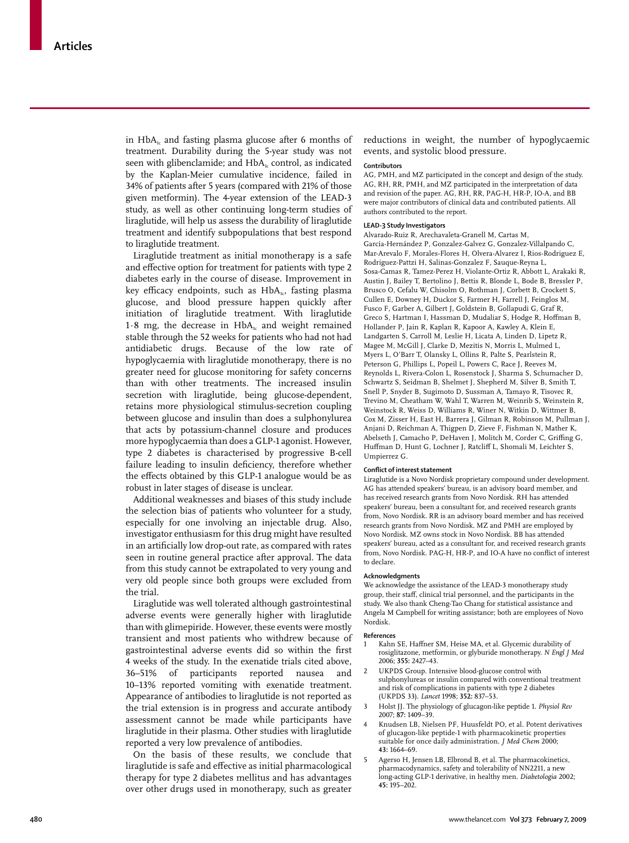in  $HbA<sub>k</sub>$  and fasting plasma glucose after 6 months of treatment. Durability during the 5-year study was not seen with glibenclamide; and HbA<sub>1c</sub> control, as indicated by the Kaplan-Meier cumulative incidence, failed in 34% of patients after 5 years (compared with 21% of those given metformin). The 4-year extension of the LEAD-3 study, as well as other continuing long-term studies of liraglutide, will help us assess the durability of liraglutide treatment and identify subpopulations that best respond to liraglutide treatment.

Liraglutide treatment as initial monotherapy is a safe and effective option for treatment for patients with type 2 diabetes early in the course of disease. Improvement in key efficacy endpoints, such as  $HbA_{1c}$ , fasting plasma glucose, and blood pressure happen quickly after initiation of liraglutide treatment. With liraglutide 1.8 mg, the decrease in  $HbA_i$  and weight remained stable through the 52 weeks for patients who had not had antidiabetic drugs. Because of the low rate of hypoglycaemia with liraglutide monotherapy, there is no greater need for glucose monitoring for safety concerns than with other treatments. The increased insulin secretion with liraglutide, being glucose-dependent, retains more physiological stimulus-secretion coupling between glucose and insulin than does a sulphonylurea that acts by potassium-channel closure and produces more hypoglycaemia than does a GLP-1 agonist. However, type 2 diabetes is characterised by progressive B-cell failure leading to insulin deficiency, therefore whether the effects obtained by this GLP-1 analogue would be as robust in later stages of disease is unclear.

Additional weaknesses and biases of this study include the selection bias of patients who volunteer for a study, especially for one involving an injectable drug. Also, investigator enthusiasm for this drug might have resulted in an artificially low drop-out rate, as compared with rates seen in routine general practice after approval. The data from this study cannot be extrapolated to very young and very old people since both groups were excluded from the trial.

Liraglutide was well tolerated although gastrointestinal adverse events were generally higher with liraglutide than with glimepiride. However, these events were mostly transient and most patients who withdrew because of gastrointestinal adverse events did so within the first 4 weeks of the study. In the exenatide trials cited above, 36–51% of participants reported nausea and 10–13% reported vomiting with exenatide treatment. Appearance of antibodies to liraglutide is not reported as the trial extension is in progress and accurate antibody assessment cannot be made while participants have liraglutide in their plasma. Other studies with liraglutide reported a very low prevalence of antibodies.

On the basis of these results, we conclude that liraglutide is safe and effective as initial pharmacological therapy for type 2 diabetes mellitus and has advantages over other drugs used in monotherapy, such as greater reductions in weight, the number of hypoglycaemic events, and systolic blood pressure.

#### **Contributors**

AG, PMH, and MZ participated in the concept and design of the study. AG, RH, RR, PMH, and MZ participated in the interpretation of data and revision of the paper. AG, RH, RR, PAG-H, HR-P, IO-A, and BB were major contributors of clinical data and contributed patients. All authors contributed to the report.

#### **LEAD-3 Study Investigators**

Alvarado-Ruiz R, Arechavaleta-Granell M, Cartas M, García-Hernández P, Gonzalez-Galvez G, Gonzalez-Villalpando C, Mar-Arevalo F, Morales-Flores H, Olvera-Alvarez I, Rios-Rodriguez E, Rodriguez-Pattzi H, Salinas-Gonzalez F, Sauque-Reyna L, Sosa-Camas R, Tamez-Perez H, Violante-Ortiz R, Abbott L, Arakaki R, Austin J, Bailey T, Bertolino J, Bettis R, Blonde L, Bode B, Bressler P, Brusco O, Cefalu W, Chisolm O, Rothman J, Corbett B, Crockett S, Cullen E, Downey H, Duckor S, Farmer H, Farrell J, Feinglos M, Fusco F, Garber A, Gilbert J, Goldstein B, Gollapudi G, Graf R, Greco S, Hartman I, Hassman D, Mudaliar S, Hodge R, Hoffman B, Hollander P, Jain R, Kaplan R, Kapoor A, Kawley A, Klein E, Landgarten S, Carroll M, Leslie H, Licata A, Linden D, Lipetz R, Magee M, McGill J, Clarke D, Mezitis N, Morris L, Mulmed L, Myers L, O'Barr T, Olansky L, Ollins R, Palte S, Pearlstein R, Peterson G, Phillips L, Popeil L, Powers C, Race J, Reeves M, Reynolds L, Rivera-Colon L, Rosenstock J, Sharma S, Schumacher D, Schwartz S, Seidman B, Shelmet J, Shepherd M, Silver B, Smith T, Snell P, Snyder B, Sugimoto D, Sussman A, Tamayo R, Tisovec R, Trevino M, Cheatham W, Wahl T, Warren M, Weinrib S, Weinstein R, Weinstock R, Weiss D, Williams R, Winer N, Witkin D, Wittmer B, Cox M, Zisser H, East H, Barrera J, Gilman R, Robinson M, Pullman J, Anjani D, Reichman A, Thigpen D, Zieve F, Fishman N, Mather K, Abelseth J, Camacho P, DeHaven J, Molitch M, Corder C, Griffing G, Huffman D, Hunt G, Lochner J, Ratcliff L, Shomali M, Leichter S, Umpierrez G.

### **Confl ict of interest statement**

Liraglutide is a Novo Nordisk proprietary compound under development. AG has attended speakers' bureau, is an advisory board member, and has received research grants from Novo Nordisk. RH has attended speakers' bureau, been a consultant for, and received research grants from, Novo Nordisk. RR is an advisory board member and has received research grants from Novo Nordisk. MZ and PMH are employed by Novo Nordisk. MZ owns stock in Novo Nordisk. BB has attended speakers' bureau, acted as a consultant for, and received research grants from, Novo Nordisk. PAG-H, HR-P, and IO-A have no conflict of interest to declare.

#### **Acknowledgments**

We acknowledge the assistance of the LEAD-3 monotherapy study group, their staff, clinical trial personnel, and the participants in the study. We also thank Cheng-Tao Chang for statistical assistance and Angela M Campbell for writing assistance; both are employees of Novo Nordisk.

#### **References**

- Kahn SE, Haffner SM, Heise MA, et al. Glycemic durability of rosiglitazone, metformin, or glyburide monotherapy. *N Engl J Med* 2006; **355:** 2427–43.
- UKPDS Group. Intensive blood-glucose control with sulphonylureas or insulin compared with conventional treatment and risk of complications in patients with type 2 diabetes (UKPDS 33). *Lancet* 1998; **352:** 837–53.
- 3 Holst JJ. The physiology of glucagon-like peptide 1. *Physiol Rev* 2007; **87:** 1409–39.
- 4 Knudsen LB, Nielsen PF, Huusfeldt PO, et al. Potent derivatives of glucagon-like peptide-1 with pharmacokinetic properties suitable for once daily administration. *J Med Chem* 2000; **43:** 1664–69.
- 5 Agerso H, Jensen LB, Elbrond B, et al. The pharmacokinetics, pharmacodynamics, safety and tolerability of NN2211, a new long-acting GLP-1 derivative, in healthy men. *Diabetologia* 2002; **45:** 195–202.